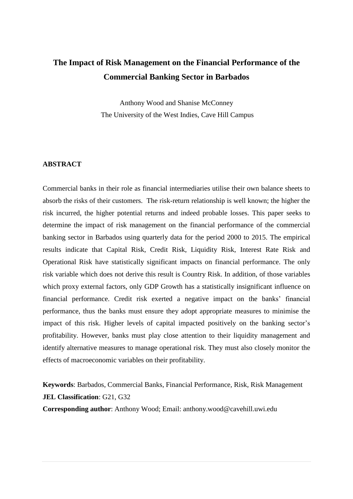# **The Impact of Risk Management on the Financial Performance of the Commercial Banking Sector in Barbados**

Anthony Wood and Shanise McConney The University of the West Indies, Cave Hill Campus

## **ABSTRACT**

Commercial banks in their role as financial intermediaries utilise their own balance sheets to absorb the risks of their customers. The risk-return relationship is well known; the higher the risk incurred, the higher potential returns and indeed probable losses. This paper seeks to determine the impact of risk management on the financial performance of the commercial banking sector in Barbados using quarterly data for the period 2000 to 2015. The empirical results indicate that Capital Risk, Credit Risk, Liquidity Risk, Interest Rate Risk and Operational Risk have statistically significant impacts on financial performance. The only risk variable which does not derive this result is Country Risk. In addition, of those variables which proxy external factors, only GDP Growth has a statistically insignificant influence on financial performance. Credit risk exerted a negative impact on the banks' financial performance, thus the banks must ensure they adopt appropriate measures to minimise the impact of this risk. Higher levels of capital impacted positively on the banking sector's profitability. However, banks must play close attention to their liquidity management and identify alternative measures to manage operational risk. They must also closely monitor the effects of macroeconomic variables on their profitability.

**Keywords**: Barbados, Commercial Banks, Financial Performance, Risk, Risk Management **JEL Classification: G21, G32** 

**Corresponding author**: Anthony Wood; Email: anthony.wood@cavehill.uwi.edu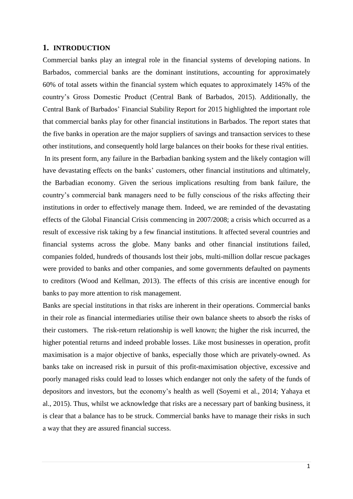#### **1. INTRODUCTION**

Commercial banks play an integral role in the financial systems of developing nations. In Barbados, commercial banks are the dominant institutions, accounting for approximately 60% of total assets within the financial system which equates to approximately 145% of the country's Gross Domestic Product (Central Bank of Barbados, 2015). Additionally, the Central Bank of Barbados' Financial Stability Report for 2015 highlighted the important role that commercial banks play for other financial institutions in Barbados. The report states that the five banks in operation are the major suppliers of savings and transaction services to these other institutions, and consequently hold large balances on their books for these rival entities.

In its present form, any failure in the Barbadian banking system and the likely contagion will have devastating effects on the banks' customers, other financial institutions and ultimately, the Barbadian economy. Given the serious implications resulting from bank failure, the country's commercial bank managers need to be fully conscious of the risks affecting their institutions in order to effectively manage them. Indeed, we are reminded of the devastating effects of the Global Financial Crisis commencing in 2007/2008; a crisis which occurred as a result of excessive risk taking by a few financial institutions. It affected several countries and financial systems across the globe. Many banks and other financial institutions failed, companies folded, hundreds of thousands lost their jobs, multi-million dollar rescue packages were provided to banks and other companies, and some governments defaulted on payments to creditors (Wood and Kellman, 2013). The effects of this crisis are incentive enough for banks to pay more attention to risk management.

Banks are special institutions in that risks are inherent in their operations. Commercial banks in their role as financial intermediaries utilise their own balance sheets to absorb the risks of their customers. The risk-return relationship is well known; the higher the risk incurred, the higher potential returns and indeed probable losses. Like most businesses in operation, profit maximisation is a major objective of banks, especially those which are privately-owned. As banks take on increased risk in pursuit of this profit-maximisation objective, excessive and poorly managed risks could lead to losses which endanger not only the safety of the funds of depositors and investors, but the economy's health as well (Soyemi et al., 2014; Yahaya et al., 2015). Thus, whilst we acknowledge that risks are a necessary part of banking business, it is clear that a balance has to be struck. Commercial banks have to manage their risks in such a way that they are assured financial success.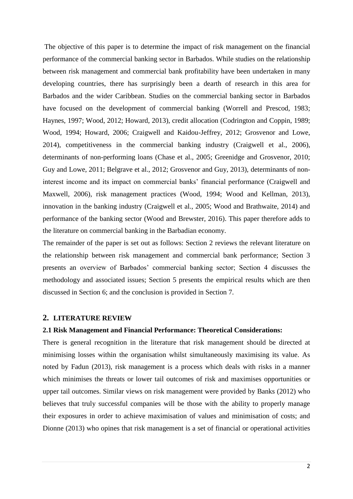The objective of this paper is to determine the impact of risk management on the financial performance of the commercial banking sector in Barbados. While studies on the relationship between risk management and commercial bank profitability have been undertaken in many developing countries, there has surprisingly been a dearth of research in this area for Barbados and the wider Caribbean. Studies on the commercial banking sector in Barbados have focused on the development of commercial banking (Worrell and Prescod, 1983; Haynes, 1997; Wood, 2012; Howard, 2013), credit allocation (Codrington and Coppin, 1989; Wood, 1994; Howard, 2006; Craigwell and Kaidou-Jeffrey, 2012; Grosvenor and Lowe, 2014), competitiveness in the commercial banking industry (Craigwell et al., 2006), determinants of non-performing loans (Chase et al., 2005; Greenidge and Grosvenor, 2010; Guy and Lowe, 2011; Belgrave et al., 2012; Grosvenor and Guy, 2013), determinants of noninterest income and its impact on commercial banks' financial performance (Craigwell and Maxwell, 2006), risk management practices (Wood, 1994; Wood and Kellman, 2013), innovation in the banking industry (Craigwell et al., 2005; Wood and Brathwaite, 2014) and performance of the banking sector (Wood and Brewster, 2016). This paper therefore adds to the literature on commercial banking in the Barbadian economy.

The remainder of the paper is set out as follows: Section 2 reviews the relevant literature on the relationship between risk management and commercial bank performance; Section 3 presents an overview of Barbados' commercial banking sector; Section 4 discusses the methodology and associated issues; Section 5 presents the empirical results which are then discussed in Section 6; and the conclusion is provided in Section 7.

#### **2. LITERATURE REVIEW**

#### **2.1 Risk Management and Financial Performance: Theoretical Considerations:**

There is general recognition in the literature that risk management should be directed at minimising losses within the organisation whilst simultaneously maximising its value. As noted by Fadun (2013), risk management is a process which deals with risks in a manner which minimises the threats or lower tail outcomes of risk and maximises opportunities or upper tail outcomes. Similar views on risk management were provided by Banks (2012) who believes that truly successful companies will be those with the ability to properly manage their exposures in order to achieve maximisation of values and minimisation of costs; and Dionne (2013) who opines that risk management is a set of financial or operational activities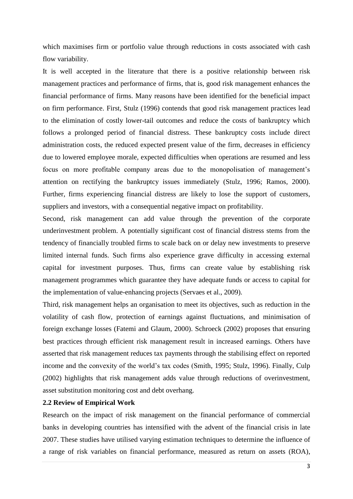which maximises firm or portfolio value through reductions in costs associated with cash flow variability.

It is well accepted in the literature that there is a positive relationship between risk management practices and performance of firms, that is, good risk management enhances the financial performance of firms. Many reasons have been identified for the beneficial impact on firm performance. First, Stulz (1996) contends that good risk management practices lead to the elimination of costly lower-tail outcomes and reduce the costs of bankruptcy which follows a prolonged period of financial distress. These bankruptcy costs include direct administration costs, the reduced expected present value of the firm, decreases in efficiency due to lowered employee morale, expected difficulties when operations are resumed and less focus on more profitable company areas due to the monopolisation of management's attention on rectifying the bankruptcy issues immediately (Stulz, 1996; Ramos, 2000). Further, firms experiencing financial distress are likely to lose the support of customers, suppliers and investors, with a consequential negative impact on profitability.

Second, risk management can add value through the prevention of the corporate underinvestment problem. A potentially significant cost of financial distress stems from the tendency of financially troubled firms to scale back on or delay new investments to preserve limited internal funds. Such firms also experience grave difficulty in accessing external capital for investment purposes. Thus, firms can create value by establishing risk management programmes which guarantee they have adequate funds or access to capital for the implementation of value-enhancing projects (Servaes et al., 2009).

Third, risk management helps an organisation to meet its objectives, such as reduction in the volatility of cash flow, protection of earnings against fluctuations, and minimisation of foreign exchange losses (Fatemi and Glaum, 2000). Schroeck (2002) proposes that ensuring best practices through efficient risk management result in increased earnings. Others have asserted that risk management reduces tax payments through the stabilising effect on reported income and the convexity of the world's tax codes (Smith, 1995; Stulz, 1996). Finally, Culp (2002) highlights that risk management adds value through reductions of overinvestment, asset substitution monitoring cost and debt overhang.

#### **2.2 Review of Empirical Work**

Research on the impact of risk management on the financial performance of commercial banks in developing countries has intensified with the advent of the financial crisis in late 2007. These studies have utilised varying estimation techniques to determine the influence of a range of risk variables on financial performance, measured as return on assets (ROA),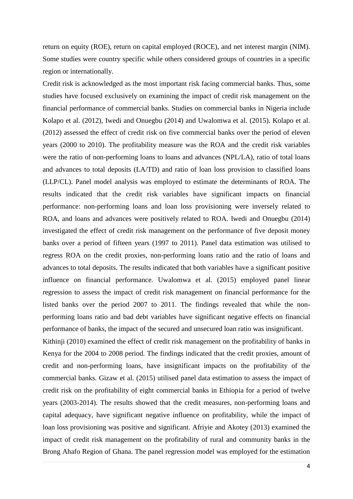return on equity (ROE), return on capital employed (ROCE), and net interest margin (NIM). Some studies were country specific while others considered groups of countries in a specific region or internationally.

Credit risk is acknowledged as the most important risk facing commercial banks. Thus, some studies have focused exclusively on examining the impact of credit risk management on the financial performance of commercial banks. Studies on commercial banks in Nigeria include Kolapo et al. (2012), Iwedi and Onuegbu (2014) and Uwalomwa et al. (2015). Kolapo et al. (2012) assessed the effect of credit risk on five commercial banks over the period of eleven years (2000 to 2010). The profitability measure was the ROA and the credit risk variables were the ratio of non-performing loans to loans and advances (NPL/LA), ratio of total loans and advances to total deposits (LA/TD) and ratio of loan loss provision to classified loans (LLP/CL). Panel model analysis was employed to estimate the determinants of ROA. The results indicated that the credit risk variables have significant impacts on financial performance: non-performing loans and loan loss provisioning were inversely related to ROA, and loans and advances were positively related to ROA. Iwedi and Onuegbu (2014) investigated the effect of credit risk management on the performance of five deposit money banks over a period of fifteen years (1997 to 2011). Panel data estimation was utilised to regress ROA on the credit proxies, non-performing loans ratio and the ratio of loans and advances to total deposits. The results indicated that both variables have a significant positive influence on financial performance. Uwalomwa et al. (2015) employed panel linear regression to assess the impact of credit risk management on financial performance for the listed banks over the period 2007 to 2011. The findings revealed that while the nonperforming loans ratio and bad debt variables have significant negative effects on financial performance of banks, the impact of the secured and unsecured loan ratio was insignificant.

Kithinji (2010) examined the effect of credit risk management on the profitability of banks in Kenya for the 2004 to 2008 period. The findings indicated that the credit proxies, amount of credit and non-performing loans, have insignificant impacts on the profitability of the commercial banks. Gizaw et al. (2015) utilised panel data estimation to assess the impact of credit risk on the profitability of eight commercial banks in Ethiopia for a period of twelve years (2003-2014). The results showed that the credit measures, non-performing loans and capital adequacy, have significant negative influence on profitability, while the impact of loan loss provisioning was positive and significant. Afriyie and Akotey (2013) examined the impact of credit risk management on the profitability of rural and community banks in the Brong Ahafo Region of Ghana. The panel regression model was employed for the estimation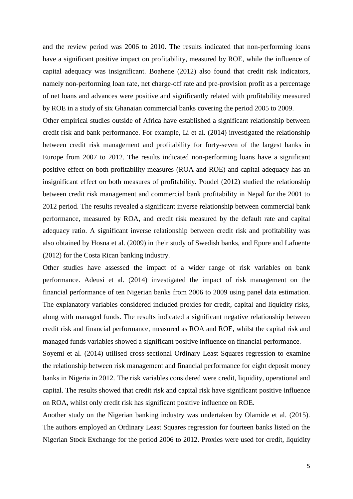and the review period was 2006 to 2010. The results indicated that non-performing loans have a significant positive impact on profitability, measured by ROE, while the influence of capital adequacy was insignificant. Boahene (2012) also found that credit risk indicators, namely non-performing loan rate, net charge-off rate and pre-provision profit as a percentage of net loans and advances were positive and significantly related with profitability measured by ROE in a study of six Ghanaian commercial banks covering the period 2005 to 2009.

Other empirical studies outside of Africa have established a significant relationship between credit risk and bank performance. For example, Li et al. (2014) investigated the relationship between credit risk management and profitability for forty-seven of the largest banks in Europe from 2007 to 2012. The results indicated non-performing loans have a significant positive effect on both profitability measures (ROA and ROE) and capital adequacy has an insignificant effect on both measures of profitability. Poudel (2012) studied the relationship between credit risk management and commercial bank profitability in Nepal for the 2001 to 2012 period. The results revealed a significant inverse relationship between commercial bank performance, measured by ROA, and credit risk measured by the default rate and capital adequacy ratio. A significant inverse relationship between credit risk and profitability was also obtained by Hosna et al. (2009) in their study of Swedish banks, and Epure and Lafuente (2012) for the Costa Rican banking industry.

Other studies have assessed the impact of a wider range of risk variables on bank performance. Adeusi et al. (2014) investigated the impact of risk management on the financial performance of ten Nigerian banks from 2006 to 2009 using panel data estimation. The explanatory variables considered included proxies for credit, capital and liquidity risks, along with managed funds. The results indicated a significant negative relationship between credit risk and financial performance, measured as ROA and ROE, whilst the capital risk and managed funds variables showed a significant positive influence on financial performance.

Soyemi et al. (2014) utilised cross-sectional Ordinary Least Squares regression to examine the relationship between risk management and financial performance for eight deposit money banks in Nigeria in 2012. The risk variables considered were credit, liquidity, operational and capital. The results showed that credit risk and capital risk have significant positive influence on ROA, whilst only credit risk has significant positive influence on ROE.

Another study on the Nigerian banking industry was undertaken by Olamide et al. (2015). The authors employed an Ordinary Least Squares regression for fourteen banks listed on the Nigerian Stock Exchange for the period 2006 to 2012. Proxies were used for credit, liquidity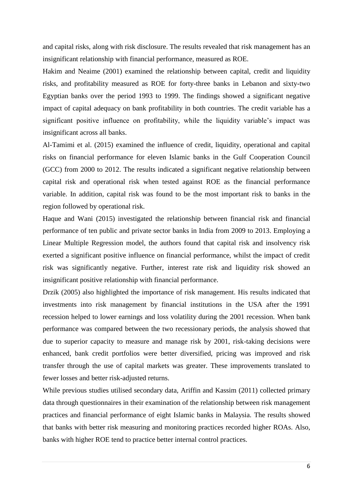and capital risks, along with risk disclosure. The results revealed that risk management has an insignificant relationship with financial performance, measured as ROE.

Hakim and Neaime (2001) examined the relationship between capital, credit and liquidity risks, and profitability measured as ROE for forty-three banks in Lebanon and sixty-two Egyptian banks over the period 1993 to 1999. The findings showed a significant negative impact of capital adequacy on bank profitability in both countries. The credit variable has a significant positive influence on profitability, while the liquidity variable's impact was insignificant across all banks.

Al-Tamimi et al. (2015) examined the influence of credit, liquidity, operational and capital risks on financial performance for eleven Islamic banks in the Gulf Cooperation Council (GCC) from 2000 to 2012. The results indicated a significant negative relationship between capital risk and operational risk when tested against ROE as the financial performance variable. In addition, capital risk was found to be the most important risk to banks in the region followed by operational risk.

Haque and Wani (2015) investigated the relationship between financial risk and financial performance of ten public and private sector banks in India from 2009 to 2013. Employing a Linear Multiple Regression model, the authors found that capital risk and insolvency risk exerted a significant positive influence on financial performance, whilst the impact of credit risk was significantly negative. Further, interest rate risk and liquidity risk showed an insignificant positive relationship with financial performance.

Drzik (2005) also highlighted the importance of risk management. His results indicated that investments into risk management by financial institutions in the USA after the 1991 recession helped to lower earnings and loss volatility during the 2001 recession. When bank performance was compared between the two recessionary periods, the analysis showed that due to superior capacity to measure and manage risk by 2001, risk-taking decisions were enhanced, bank credit portfolios were better diversified, pricing was improved and risk transfer through the use of capital markets was greater. These improvements translated to fewer losses and better risk-adjusted returns.

While previous studies utilised secondary data, Ariffin and Kassim (2011) collected primary data through questionnaires in their examination of the relationship between risk management practices and financial performance of eight Islamic banks in Malaysia. The results showed that banks with better risk measuring and monitoring practices recorded higher ROAs. Also, banks with higher ROE tend to practice better internal control practices.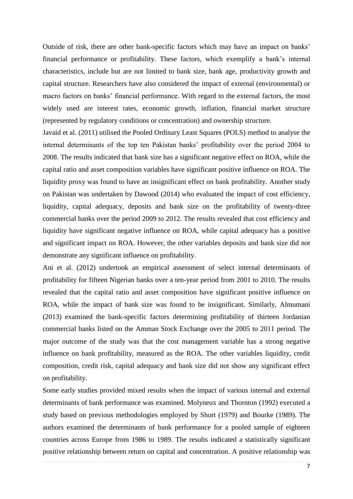Outside of risk, there are other bank-specific factors which may have an impact on banks' financial performance or profitability. These factors, which exemplify a bank's internal characteristics, include but are not limited to bank size, bank age, productivity growth and capital structure. Researchers have also considered the impact of external (environmental) or macro factors on banks' financial performance. With regard to the external factors, the most widely used are interest rates, economic growth, inflation, financial market structure (represented by regulatory conditions or concentration) and ownership structure.

Javaid et al. (2011) utilised the Pooled Ordinary Least Squares (POLS) method to analyse the internal determinants of the top ten Pakistan banks' profitability over the period 2004 to 2008. The results indicated that bank size has a significant negative effect on ROA, while the capital ratio and asset composition variables have significant positive influence on ROA. The liquidity proxy was found to have an insignificant effect on bank profitability. Another study on Pakistan was undertaken by Dawood (2014) who evaluated the impact of cost efficiency, liquidity, capital adequacy, deposits and bank size on the profitability of twenty-three commercial banks over the period 2009 to 2012. The results revealed that cost efficiency and liquidity have significant negative influence on ROA, while capital adequacy has a positive and significant impact on ROA. However, the other variables deposits and bank size did not demonstrate any significant influence on profitability.

Ani et al. (2012) undertook an empirical assessment of select internal determinants of profitability for fifteen Nigerian banks over a ten-year period from 2001 to 2010. The results revealed that the capital ratio and asset composition have significant positive influence on ROA, while the impact of bank size was found to be insignificant. Similarly, Almumani (2013) examined the bank-specific factors determining profitability of thirteen Jordanian commercial banks listed on the Amman Stock Exchange over the 2005 to 2011 period. The major outcome of the study was that the cost management variable has a strong negative influence on bank profitability, measured as the ROA. The other variables liquidity, credit composition, credit risk, capital adequacy and bank size did not show any significant effect on profitability.

Some early studies provided mixed results when the impact of various internal and external determinants of bank performance was examined. Molyneux and Thornton (1992) executed a study based on previous methodologies employed by Short (1979) and Bourke (1989). The authors examined the determinants of bank performance for a pooled sample of eighteen countries across Europe from 1986 to 1989. The results indicated a statistically significant positive relationship between return on capital and concentration. A positive relationship was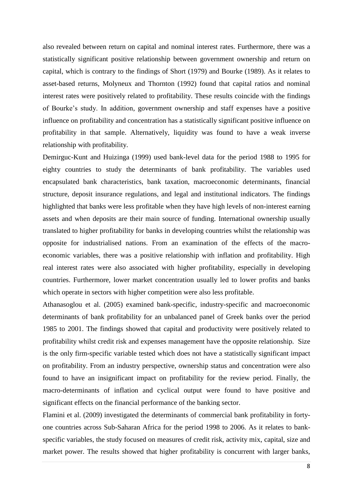also revealed between return on capital and nominal interest rates. Furthermore, there was a statistically significant positive relationship between government ownership and return on capital, which is contrary to the findings of Short (1979) and Bourke (1989). As it relates to asset-based returns, Molyneux and Thornton (1992) found that capital ratios and nominal interest rates were positively related to profitability. These results coincide with the findings of Bourke's study. In addition, government ownership and staff expenses have a positive influence on profitability and concentration has a statistically significant positive influence on profitability in that sample. Alternatively, liquidity was found to have a weak inverse relationship with profitability.

Demirguc-Kunt and Huizinga (1999) used bank-level data for the period 1988 to 1995 for eighty countries to study the determinants of bank profitability. The variables used encapsulated bank characteristics, bank taxation, macroeconomic determinants, financial structure, deposit insurance regulations, and legal and institutional indicators. The findings highlighted that banks were less profitable when they have high levels of non-interest earning assets and when deposits are their main source of funding. International ownership usually translated to higher profitability for banks in developing countries whilst the relationship was opposite for industrialised nations. From an examination of the effects of the macroeconomic variables, there was a positive relationship with inflation and profitability. High real interest rates were also associated with higher profitability, especially in developing countries. Furthermore, lower market concentration usually led to lower profits and banks which operate in sectors with higher competition were also less profitable.

Athanasoglou et al. (2005) examined bank-specific, industry-specific and macroeconomic determinants of bank profitability for an unbalanced panel of Greek banks over the period 1985 to 2001. The findings showed that capital and productivity were positively related to profitability whilst credit risk and expenses management have the opposite relationship. Size is the only firm-specific variable tested which does not have a statistically significant impact on profitability. From an industry perspective, ownership status and concentration were also found to have an insignificant impact on profitability for the review period. Finally, the macro-determinants of inflation and cyclical output were found to have positive and significant effects on the financial performance of the banking sector.

Flamini et al. (2009) investigated the determinants of commercial bank profitability in fortyone countries across Sub-Saharan Africa for the period 1998 to 2006. As it relates to bankspecific variables, the study focused on measures of credit risk, activity mix, capital, size and market power. The results showed that higher profitability is concurrent with larger banks,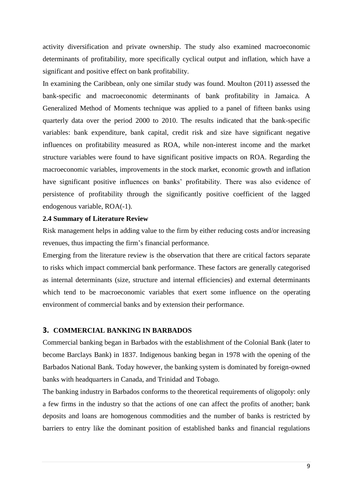activity diversification and private ownership. The study also examined macroeconomic determinants of profitability, more specifically cyclical output and inflation, which have a significant and positive effect on bank profitability.

In examining the Caribbean, only one similar study was found. Moulton (2011) assessed the bank-specific and macroeconomic determinants of bank profitability in Jamaica. A Generalized Method of Moments technique was applied to a panel of fifteen banks using quarterly data over the period 2000 to 2010. The results indicated that the bank-specific variables: bank expenditure, bank capital, credit risk and size have significant negative influences on profitability measured as ROA, while non-interest income and the market structure variables were found to have significant positive impacts on ROA. Regarding the macroeconomic variables, improvements in the stock market, economic growth and inflation have significant positive influences on banks' profitability. There was also evidence of persistence of profitability through the significantly positive coefficient of the lagged endogenous variable, ROA(-1).

# **2.4 Summary of Literature Review**

Risk management helps in adding value to the firm by either reducing costs and/or increasing revenues, thus impacting the firm's financial performance.

Emerging from the literature review is the observation that there are critical factors separate to risks which impact commercial bank performance. These factors are generally categorised as internal determinants (size, structure and internal efficiencies) and external determinants which tend to be macroeconomic variables that exert some influence on the operating environment of commercial banks and by extension their performance.

# **3. COMMERCIAL BANKING IN BARBADOS**

Commercial banking began in Barbados with the establishment of the Colonial Bank (later to become Barclays Bank) in 1837. Indigenous banking began in 1978 with the opening of the Barbados National Bank. Today however, the banking system is dominated by foreign-owned banks with headquarters in Canada, and Trinidad and Tobago.

The banking industry in Barbados conforms to the theoretical requirements of oligopoly: only a few firms in the industry so that the actions of one can affect the profits of another; bank deposits and loans are homogenous commodities and the number of banks is restricted by barriers to entry like the dominant position of established banks and financial regulations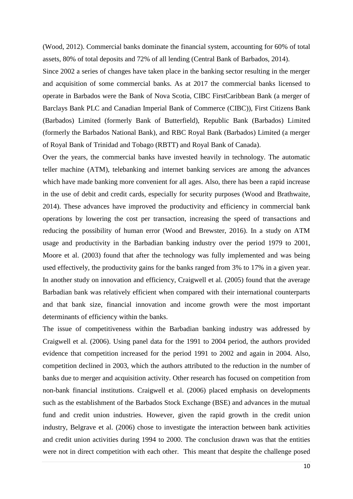(Wood, 2012). Commercial banks dominate the financial system, accounting for 60% of total assets, 80% of total deposits and 72% of all lending (Central Bank of Barbados, 2014).

Since 2002 a series of changes have taken place in the banking sector resulting in the merger and acquisition of some commercial banks. As at 2017 the commercial banks licensed to operate in Barbados were the Bank of Nova Scotia, CIBC FirstCaribbean Bank (a merger of Barclays Bank PLC and Canadian Imperial Bank of Commerce (CIBC)), First Citizens Bank (Barbados) Limited (formerly Bank of Butterfield), Republic Bank (Barbados) Limited (formerly the Barbados National Bank), and RBC Royal Bank (Barbados) Limited (a merger of Royal Bank of Trinidad and Tobago (RBTT) and Royal Bank of Canada).

Over the years, the commercial banks have invested heavily in technology. The automatic teller machine (ATM), telebanking and internet banking services are among the advances which have made banking more convenient for all ages. Also, there has been a rapid increase in the use of debit and credit cards, especially for security purposes (Wood and Brathwaite, 2014). These advances have improved the productivity and efficiency in commercial bank operations by lowering the cost per transaction, increasing the speed of transactions and reducing the possibility of human error (Wood and Brewster, 2016). In a study on ATM usage and productivity in the Barbadian banking industry over the period 1979 to 2001, Moore et al. (2003) found that after the technology was fully implemented and was being used effectively, the productivity gains for the banks ranged from 3% to 17% in a given year. In another study on innovation and efficiency, Craigwell et al. (2005) found that the average Barbadian bank was relatively efficient when compared with their international counterparts and that bank size, financial innovation and income growth were the most important determinants of efficiency within the banks.

The issue of competitiveness within the Barbadian banking industry was addressed by Craigwell et al. (2006). Using panel data for the 1991 to 2004 period, the authors provided evidence that competition increased for the period 1991 to 2002 and again in 2004. Also, competition declined in 2003, which the authors attributed to the reduction in the number of banks due to merger and acquisition activity. Other research has focused on competition from non-bank financial institutions. Craigwell et al. (2006) placed emphasis on developments such as the establishment of the Barbados Stock Exchange (BSE) and advances in the mutual fund and credit union industries. However, given the rapid growth in the credit union industry, Belgrave et al. (2006) chose to investigate the interaction between bank activities and credit union activities during 1994 to 2000. The conclusion drawn was that the entities were not in direct competition with each other. This meant that despite the challenge posed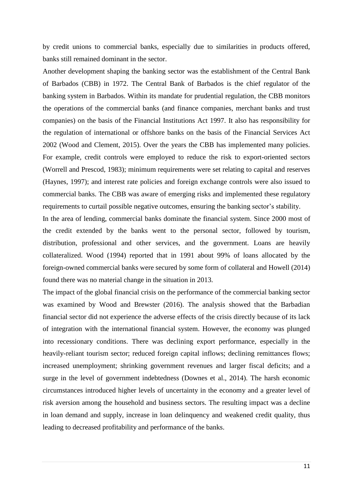by credit unions to commercial banks, especially due to similarities in products offered, banks still remained dominant in the sector.

Another development shaping the banking sector was the establishment of the Central Bank of Barbados (CBB) in 1972. The Central Bank of Barbados is the chief regulator of the banking system in Barbados. Within its mandate for prudential regulation, the CBB monitors the operations of the commercial banks (and finance companies, merchant banks and trust companies) on the basis of the Financial Institutions Act 1997. It also has responsibility for the regulation of international or offshore banks on the basis of the Financial Services Act 2002 (Wood and Clement, 2015). Over the years the CBB has implemented many policies. For example, credit controls were employed to reduce the risk to export-oriented sectors (Worrell and Prescod, 1983); minimum requirements were set relating to capital and reserves (Haynes, 1997); and interest rate policies and foreign exchange controls were also issued to commercial banks. The CBB was aware of emerging risks and implemented these regulatory requirements to curtail possible negative outcomes, ensuring the banking sector's stability.

In the area of lending, commercial banks dominate the financial system. Since 2000 most of the credit extended by the banks went to the personal sector, followed by tourism, distribution, professional and other services, and the government. Loans are heavily collateralized. Wood (1994) reported that in 1991 about 99% of loans allocated by the foreign-owned commercial banks were secured by some form of collateral and Howell (2014) found there was no material change in the situation in 2013.

The impact of the global financial crisis on the performance of the commercial banking sector was examined by Wood and Brewster (2016). The analysis showed that the Barbadian financial sector did not experience the adverse effects of the crisis directly because of its lack of integration with the international financial system. However, the economy was plunged into recessionary conditions. There was declining export performance, especially in the heavily-reliant tourism sector; reduced foreign capital inflows; declining remittances flows; increased unemployment; shrinking government revenues and larger fiscal deficits; and a surge in the level of government indebtedness (Downes et al., 2014). The harsh economic circumstances introduced higher levels of uncertainty in the economy and a greater level of risk aversion among the household and business sectors. The resulting impact was a decline in loan demand and supply, increase in loan delinquency and weakened credit quality, thus leading to decreased profitability and performance of the banks.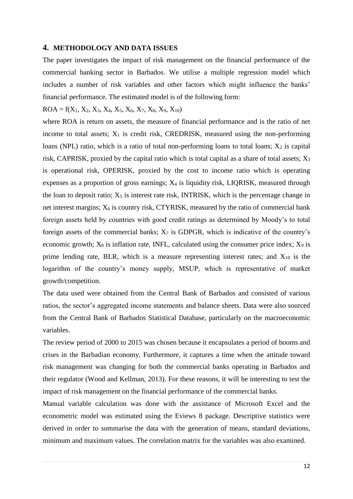#### **4. METHODOLOGY AND DATA ISSUES**

The paper investigates the impact of risk management on the financial performance of the commercial banking sector in Barbados. We utilise a multiple regression model which includes a number of risk variables and other factors which might influence the banks' financial performance. The estimated model is of the following form:

### $ROA = f(X_1, X_2, X_3, X_4, X_5, X_6, X_7, X_8, X_9, X_{10})$

where ROA is return on assets, the measure of financial performance and is the ratio of net income to total assets;  $X_1$  is credit risk, CREDRISK, measured using the non-performing loans (NPL) ratio, which is a ratio of total non-performing loans to total loans;  $X_2$  is capital risk, CAPRISK, proxied by the capital ratio which is total capital as a share of total assets;  $X_3$ is operational risk, OPERISK, proxied by the cost to income ratio which is operating expenses as a proportion of gross earnings;  $X_4$  is liquidity risk, LIQRISK, measured through the loan to deposit ratio;  $X_5$  is interest rate risk, INTRISK, which is the percentage change in net interest margins;  $X_6$  is country risk, CTYRISK, measured by the ratio of commercial bank foreign assets held by countries with good credit ratings as determined by Moody's to total foreign assets of the commercial banks;  $X_7$  is GDPGR, which is indicative of the country's economic growth;  $X_8$  is inflation rate, INFL, calculated using the consumer price index;  $X_9$  is prime lending rate, BLR, which is a measure representing interest rates; and  $X_{10}$  is the logarithm of the country's money supply, MSUP, which is representative of market growth/competition.

The data used were obtained from the Central Bank of Barbados and consisted of various ratios, the sector's aggregated income statements and balance sheets. Data were also sourced from the Central Bank of Barbados Statistical Database, particularly on the macroeconomic variables.

The review period of 2000 to 2015 was chosen because it encapsulates a period of booms and crises in the Barbadian economy. Furthermore, it captures a time when the attitude toward risk management was changing for both the commercial banks operating in Barbados and their regulator (Wood and Kellman, 2013). For these reasons, it will be interesting to test the impact of risk management on the financial performance of the commercial banks.

Manual variable calculation was done with the assistance of Microsoft Excel and the econometric model was estimated using the Eviews 8 package. Descriptive statistics were derived in order to summarise the data with the generation of means, standard deviations, minimum and maximum values. The correlation matrix for the variables was also examined.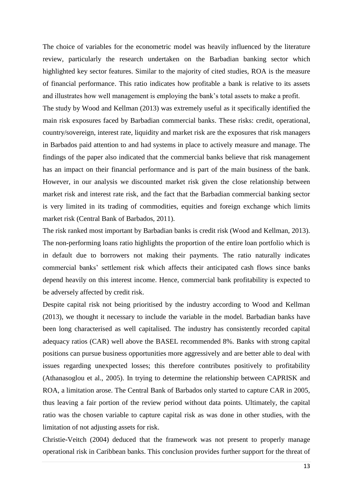The choice of variables for the econometric model was heavily influenced by the literature review, particularly the research undertaken on the Barbadian banking sector which highlighted key sector features. Similar to the majority of cited studies, ROA is the measure of financial performance. This ratio indicates how profitable a bank is relative to its assets and illustrates how well management is employing the bank's total assets to make a profit.

The study by Wood and Kellman (2013) was extremely useful as it specifically identified the main risk exposures faced by Barbadian commercial banks. These risks: credit, operational, country/sovereign, interest rate, liquidity and market risk are the exposures that risk managers in Barbados paid attention to and had systems in place to actively measure and manage. The findings of the paper also indicated that the commercial banks believe that risk management has an impact on their financial performance and is part of the main business of the bank. However, in our analysis we discounted market risk given the close relationship between market risk and interest rate risk, and the fact that the Barbadian commercial banking sector is very limited in its trading of commodities, equities and foreign exchange which limits market risk (Central Bank of Barbados, 2011).

The risk ranked most important by Barbadian banks is credit risk (Wood and Kellman, 2013). The non-performing loans ratio highlights the proportion of the entire loan portfolio which is in default due to borrowers not making their payments. The ratio naturally indicates commercial banks' settlement risk which affects their anticipated cash flows since banks depend heavily on this interest income. Hence, commercial bank profitability is expected to be adversely affected by credit risk.

Despite capital risk not being prioritised by the industry according to Wood and Kellman (2013), we thought it necessary to include the variable in the model. Barbadian banks have been long characterised as well capitalised. The industry has consistently recorded capital adequacy ratios (CAR) well above the BASEL recommended 8%. Banks with strong capital positions can pursue business opportunities more aggressively and are better able to deal with issues regarding unexpected losses; this therefore contributes positively to profitability (Athanasoglou et al., 2005). In trying to determine the relationship between CAPRISK and ROA, a limitation arose. The Central Bank of Barbados only started to capture CAR in 2005, thus leaving a fair portion of the review period without data points. Ultimately, the capital ratio was the chosen variable to capture capital risk as was done in other studies, with the limitation of not adjusting assets for risk.

Christie-Veitch (2004) deduced that the framework was not present to properly manage operational risk in Caribbean banks. This conclusion provides further support for the threat of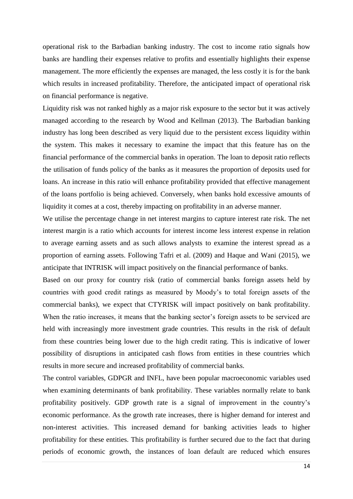operational risk to the Barbadian banking industry. The cost to income ratio signals how banks are handling their expenses relative to profits and essentially highlights their expense management. The more efficiently the expenses are managed, the less costly it is for the bank which results in increased profitability. Therefore, the anticipated impact of operational risk on financial performance is negative.

Liquidity risk was not ranked highly as a major risk exposure to the sector but it was actively managed according to the research by Wood and Kellman (2013). The Barbadian banking industry has long been described as very liquid due to the persistent excess liquidity within the system. This makes it necessary to examine the impact that this feature has on the financial performance of the commercial banks in operation. The loan to deposit ratio reflects the utilisation of funds policy of the banks as it measures the proportion of deposits used for loans. An increase in this ratio will enhance profitability provided that effective management of the loans portfolio is being achieved. Conversely, when banks hold excessive amounts of liquidity it comes at a cost, thereby impacting on profitability in an adverse manner.

We utilise the percentage change in net interest margins to capture interest rate risk. The net interest margin is a ratio which accounts for interest income less interest expense in relation to average earning assets and as such allows analysts to examine the interest spread as a proportion of earning assets. Following Tafri et al. (2009) and Haque and Wani (2015), we anticipate that INTRISK will impact positively on the financial performance of banks.

Based on our proxy for country risk (ratio of commercial banks foreign assets held by countries with good credit ratings as measured by Moody's to total foreign assets of the commercial banks), we expect that CTYRISK will impact positively on bank profitability. When the ratio increases, it means that the banking sector's foreign assets to be serviced are held with increasingly more investment grade countries. This results in the risk of default from these countries being lower due to the high credit rating. This is indicative of lower possibility of disruptions in anticipated cash flows from entities in these countries which results in more secure and increased profitability of commercial banks.

The control variables, GDPGR and INFL, have been popular macroeconomic variables used when examining determinants of bank profitability. These variables normally relate to bank profitability positively. GDP growth rate is a signal of improvement in the country's economic performance. As the growth rate increases, there is higher demand for interest and non-interest activities. This increased demand for banking activities leads to higher profitability for these entities. This profitability is further secured due to the fact that during periods of economic growth, the instances of loan default are reduced which ensures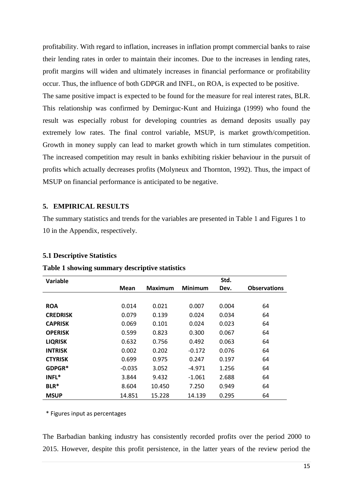profitability. With regard to inflation, increases in inflation prompt commercial banks to raise their lending rates in order to maintain their incomes. Due to the increases in lending rates, profit margins will widen and ultimately increases in financial performance or profitability occur. Thus, the influence of both GDPGR and INFL, on ROA, is expected to be positive.

The same positive impact is expected to be found for the measure for real interest rates, BLR. This relationship was confirmed by Demirguc-Kunt and Huizinga (1999) who found the result was especially robust for developing countries as demand deposits usually pay extremely low rates. The final control variable, MSUP, is market growth/competition. Growth in money supply can lead to market growth which in turn stimulates competition. The increased competition may result in banks exhibiting riskier behaviour in the pursuit of profits which actually decreases profits (Molyneux and Thornton, 1992). Thus, the impact of MSUP on financial performance is anticipated to be negative.

## **5. EMPIRICAL RESULTS**

The summary statistics and trends for the variables are presented in Table 1 and Figures 1 to 10 in the Appendix, respectively.

#### **5.1 Descriptive Statistics**

| <b>Variable</b> |          |                |                | Std.  |                     |
|-----------------|----------|----------------|----------------|-------|---------------------|
|                 | Mean     | <b>Maximum</b> | <b>Minimum</b> | Dev.  | <b>Observations</b> |
|                 |          |                |                |       |                     |
| <b>ROA</b>      | 0.014    | 0.021          | 0.007          | 0.004 | 64                  |
| <b>CREDRISK</b> | 0.079    | 0.139          | 0.024          | 0.034 | 64                  |
| <b>CAPRISK</b>  | 0.069    | 0.101          | 0.024          | 0.023 | 64                  |
| <b>OPERISK</b>  | 0.599    | 0.823          | 0.300          | 0.067 | 64                  |
| <b>LIQRISK</b>  | 0.632    | 0.756          | 0.492          | 0.063 | 64                  |
| <b>INTRISK</b>  | 0.002    | 0.202          | $-0.172$       | 0.076 | 64                  |
| <b>CTYRISK</b>  | 0.699    | 0.975          | 0.247          | 0.197 | 64                  |
| GDPGR*          | $-0.035$ | 3.052          | $-4.971$       | 1.256 | 64                  |
| INFL*           | 3.844    | 9.432          | $-1.061$       | 2.688 | 64                  |
| BLR*            | 8.604    | 10.450         | 7.250          | 0.949 | 64                  |
| <b>MSUP</b>     | 14.851   | 15.228         | 14.139         | 0.295 | 64                  |

#### **Table 1 showing summary descriptive statistics**

\* Figures input as percentages

The Barbadian banking industry has consistently recorded profits over the period 2000 to 2015. However, despite this profit persistence, in the latter years of the review period the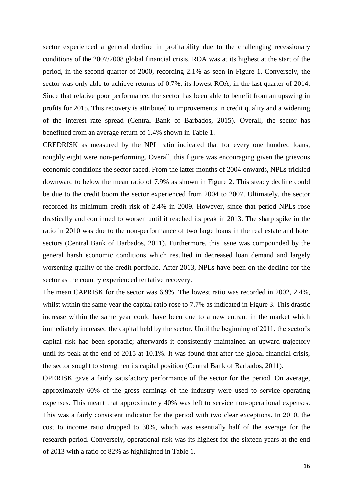sector experienced a general decline in profitability due to the challenging recessionary conditions of the 2007/2008 global financial crisis. ROA was at its highest at the start of the period, in the second quarter of 2000, recording 2.1% as seen in Figure 1. Conversely, the sector was only able to achieve returns of 0.7%, its lowest ROA, in the last quarter of 2014. Since that relative poor performance, the sector has been able to benefit from an upswing in profits for 2015. This recovery is attributed to improvements in credit quality and a widening of the interest rate spread (Central Bank of Barbados, 2015). Overall, the sector has benefitted from an average return of 1.4% shown in Table 1.

CREDRISK as measured by the NPL ratio indicated that for every one hundred loans, roughly eight were non-performing. Overall, this figure was encouraging given the grievous economic conditions the sector faced. From the latter months of 2004 onwards, NPLs trickled downward to below the mean ratio of 7.9% as shown in Figure 2. This steady decline could be due to the credit boom the sector experienced from 2004 to 2007. Ultimately, the sector recorded its minimum credit risk of 2.4% in 2009. However, since that period NPLs rose drastically and continued to worsen until it reached its peak in 2013. The sharp spike in the ratio in 2010 was due to the non-performance of two large loans in the real estate and hotel sectors (Central Bank of Barbados, 2011). Furthermore, this issue was compounded by the general harsh economic conditions which resulted in decreased loan demand and largely worsening quality of the credit portfolio. After 2013, NPLs have been on the decline for the sector as the country experienced tentative recovery.

The mean CAPRISK for the sector was 6.9%. The lowest ratio was recorded in 2002, 2.4%, whilst within the same year the capital ratio rose to 7.7% as indicated in Figure 3. This drastic increase within the same year could have been due to a new entrant in the market which immediately increased the capital held by the sector. Until the beginning of 2011, the sector's capital risk had been sporadic; afterwards it consistently maintained an upward trajectory until its peak at the end of 2015 at 10.1%. It was found that after the global financial crisis, the sector sought to strengthen its capital position (Central Bank of Barbados, 2011).

OPERISK gave a fairly satisfactory performance of the sector for the period. On average, approximately 60% of the gross earnings of the industry were used to service operating expenses. This meant that approximately 40% was left to service non-operational expenses. This was a fairly consistent indicator for the period with two clear exceptions. In 2010, the cost to income ratio dropped to 30%, which was essentially half of the average for the research period. Conversely, operational risk was its highest for the sixteen years at the end of 2013 with a ratio of 82% as highlighted in Table 1.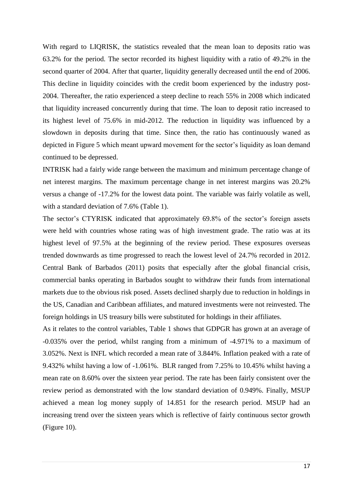With regard to LIQRISK, the statistics revealed that the mean loan to deposits ratio was 63.2% for the period. The sector recorded its highest liquidity with a ratio of 49.2% in the second quarter of 2004. After that quarter, liquidity generally decreased until the end of 2006. This decline in liquidity coincides with the credit boom experienced by the industry post-2004. Thereafter, the ratio experienced a steep decline to reach 55% in 2008 which indicated that liquidity increased concurrently during that time. The loan to deposit ratio increased to its highest level of 75.6% in mid-2012. The reduction in liquidity was influenced by a slowdown in deposits during that time. Since then, the ratio has continuously waned as depicted in Figure 5 which meant upward movement for the sector's liquidity as loan demand continued to be depressed.

INTRISK had a fairly wide range between the maximum and minimum percentage change of net interest margins. The maximum percentage change in net interest margins was 20.2% versus a change of -17.2% for the lowest data point. The variable was fairly volatile as well, with a standard deviation of 7.6% (Table 1).

The sector's CTYRISK indicated that approximately 69.8% of the sector's foreign assets were held with countries whose rating was of high investment grade. The ratio was at its highest level of 97.5% at the beginning of the review period. These exposures overseas trended downwards as time progressed to reach the lowest level of 24.7% recorded in 2012. Central Bank of Barbados (2011) posits that especially after the global financial crisis, commercial banks operating in Barbados sought to withdraw their funds from international markets due to the obvious risk posed. Assets declined sharply due to reduction in holdings in the US, Canadian and Caribbean affiliates, and matured investments were not reinvested. The foreign holdings in US treasury bills were substituted for holdings in their affiliates.

As it relates to the control variables, Table 1 shows that GDPGR has grown at an average of -0.035% over the period, whilst ranging from a minimum of -4.971% to a maximum of 3.052%. Next is INFL which recorded a mean rate of 3.844%. Inflation peaked with a rate of 9.432% whilst having a low of -1.061%. BLR ranged from 7.25% to 10.45% whilst having a mean rate on 8.60% over the sixteen year period. The rate has been fairly consistent over the review period as demonstrated with the low standard deviation of 0.949%. Finally, MSUP achieved a mean log money supply of 14.851 for the research period. MSUP had an increasing trend over the sixteen years which is reflective of fairly continuous sector growth (Figure 10).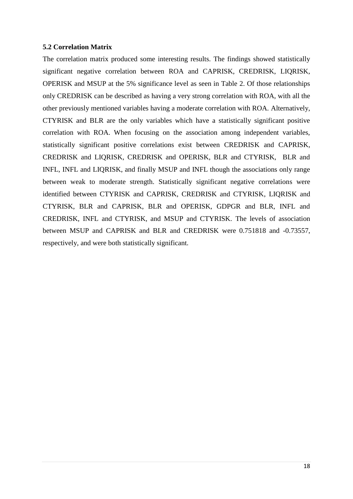# **5.2 Correlation Matrix**

The correlation matrix produced some interesting results. The findings showed statistically significant negative correlation between ROA and CAPRISK, CREDRISK, LIQRISK, OPERISK and MSUP at the 5% significance level as seen in Table 2. Of those relationships only CREDRISK can be described as having a very strong correlation with ROA, with all the other previously mentioned variables having a moderate correlation with ROA. Alternatively, CTYRISK and BLR are the only variables which have a statistically significant positive correlation with ROA. When focusing on the association among independent variables, statistically significant positive correlations exist between CREDRISK and CAPRISK, CREDRISK and LIQRISK, CREDRISK and OPERISK, BLR and CTYRISK, BLR and INFL, INFL and LIQRISK, and finally MSUP and INFL though the associations only range between weak to moderate strength. Statistically significant negative correlations were identified between CTYRISK and CAPRISK, CREDRISK and CTYRISK, LIQRISK and CTYRISK, BLR and CAPRISK, BLR and OPERISK, GDPGR and BLR, INFL and CREDRISK, INFL and CTYRISK, and MSUP and CTYRISK. The levels of association between MSUP and CAPRISK and BLR and CREDRISK were 0.751818 and -0.73557, respectively, and were both statistically significant.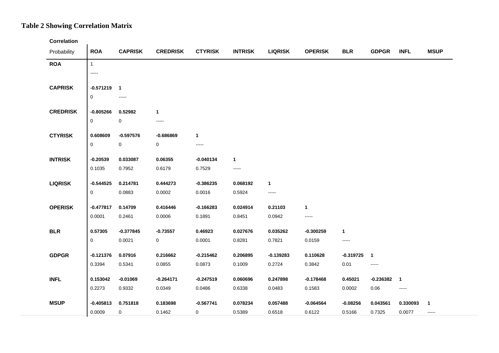# **Table 2 Showing Correlation Matrix**

**Correlation**

| Probability     | <b>ROA</b>             | <b>CAPRISK</b> | <b>CREDRISK</b> | <b>CTYRISK</b> | <b>INTRISK</b> | <b>LIQRISK</b> | <b>OPERISK</b> | <b>BLR</b>   | <b>GDPGR</b>   | <b>INFL</b>    | <b>MSUP</b>  |
|-----------------|------------------------|----------------|-----------------|----------------|----------------|----------------|----------------|--------------|----------------|----------------|--------------|
| <b>ROA</b>      | $\mathbf{1}$           |                |                 |                |                |                |                |              |                |                |              |
|                 | -----                  |                |                 |                |                |                |                |              |                |                |              |
| <b>CAPRISK</b>  | $-0.571219$ 1          |                |                 |                |                |                |                |              |                |                |              |
|                 | $\mathbf 0$            | -----          |                 |                |                |                |                |              |                |                |              |
|                 |                        |                |                 |                |                |                |                |              |                |                |              |
| <b>CREDRISK</b> | $-0.805266$            | 0.52982        | $\mathbf{1}$    |                |                |                |                |              |                |                |              |
|                 | 0                      | 0              |                 |                |                |                |                |              |                |                |              |
| <b>CTYRISK</b>  | 0.608609               | $-0.597576$    | $-0.686869$     | $\mathbf{1}$   |                |                |                |              |                |                |              |
|                 | $\mathbf 0$            | 0              | 0               | -----          |                |                |                |              |                |                |              |
| <b>INTRISK</b>  | $-0.20539$             | 0.033087       | 0.06355         | $-0.040134$    | $\mathbf 1$    |                |                |              |                |                |              |
|                 | 0.1035                 | 0.7952         | 0.6179          | 0.7529         | -----          |                |                |              |                |                |              |
|                 |                        |                |                 |                |                |                |                |              |                |                |              |
| <b>LIQRISK</b>  | $-0.544525$            | 0.214781       | 0.444273        | $-0.386235$    | 0.068192       | $\mathbf{1}$   |                |              |                |                |              |
|                 | 0                      | 0.0883         | 0.0002          | 0.0016         | 0.5924         | -----          |                |              |                |                |              |
| <b>OPERISK</b>  | $-0.477817$            | 0.14709        | 0.416446        | $-0.166283$    | 0.024914       | 0.21103        | $\mathbf{1}$   |              |                |                |              |
|                 | 0.0001                 | 0.2461         | 0.0006          | 0.1891         | 0.8451         | 0.0942         | -----          |              |                |                |              |
|                 |                        |                |                 |                |                |                |                |              |                |                |              |
| <b>BLR</b>      | 0.57305<br>$\mathbf 0$ | $-0.377845$    | $-0.73557$      | 0.46923        | 0.027676       | 0.035262       | $-0.300259$    | $\mathbf{1}$ |                |                |              |
|                 |                        | 0.0021         | 0               | 0.0001         | 0.8281         | 0.7821         | 0.0159         | -----        |                |                |              |
| <b>GDPGR</b>    | $-0.121376$            | 0.07916        | 0.216662        | $-0.215462$    | 0.206895       | $-0.139283$    | 0.110628       | $-0.319725$  | $\blacksquare$ |                |              |
|                 | 0.3394                 | 0.5341         | 0.0855          | 0.0873         | 0.1009         | 0.2724         | 0.3842         | 0.01         | -----          |                |              |
| <b>INFL</b>     | 0.153042               | $-0.01069$     | $-0.264171$     | $-0.247519$    | 0.060696       | 0.247898       | $-0.178468$    | 0.45021      | $-0.236382$    | $\blacksquare$ |              |
|                 | 0.2273                 | 0.9332         | 0.0349          | 0.0486         | 0.6338         | 0.0483         | 0.1583         | 0.0002       | 0.06           | -----          |              |
|                 |                        |                |                 |                |                |                |                |              |                |                |              |
| <b>MSUP</b>     | $-0.405813$            | 0.751818       | 0.183698        | $-0.567741$    | 0.078234       | 0.057488       | $-0.064564$    | $-0.08256$   | 0.043561       | 0.330093       | $\mathbf{1}$ |
|                 | 0.0009                 | 0              | 0.1462          | 0              | 0.5389         | 0.6518         | 0.6122         | 0.5166       | 0.7325         | 0.0077         | -----        |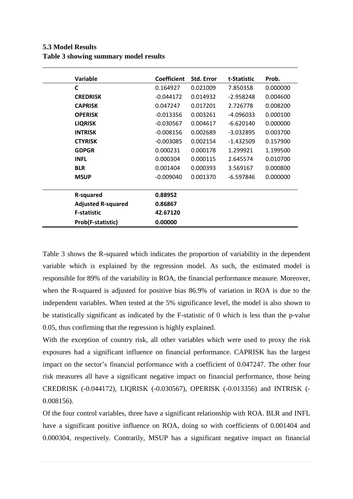| <b>5.3 Model Results</b>              |  |
|---------------------------------------|--|
| Table 3 showing summary model results |  |

| Variable                  | <b>Coefficient</b> | <b>Std. Error</b> | t-Statistic | Prob.    |
|---------------------------|--------------------|-------------------|-------------|----------|
| C                         | 0.164927           | 0.021009          | 7.850358    | 0.000000 |
| <b>CREDRISK</b>           | $-0.044172$        | 0.014932          | $-2.958248$ | 0.004600 |
| <b>CAPRISK</b>            | 0.047247           | 0.017201          | 2.726778    | 0.008200 |
| <b>OPERISK</b>            | $-0.013356$        | 0.003261          | -4.096033   | 0.000100 |
| <b>LIQRISK</b>            | $-0.030567$        | 0.004617          | $-6.620140$ | 0.000000 |
| <b>INTRISK</b>            | $-0.008156$        | 0.002689          | $-3.032895$ | 0.003700 |
| <b>CTYRISK</b>            | $-0.003085$        | 0.002154          | $-1.432509$ | 0.157900 |
| <b>GDPGR</b>              | 0.000231           | 0.000178          | 1.299921    | 1.199500 |
| <b>INFL</b>               | 0.000304           | 0.000115          | 2.645574    | 0.010700 |
| <b>BLR</b>                | 0.001404           | 0.000393          | 3.569167    | 0.000800 |
| <b>MSUP</b>               | $-0.009040$        | 0.001370          | $-6.597846$ | 0.000000 |
|                           |                    |                   |             |          |
| <b>R-squared</b>          | 0.88952            |                   |             |          |
| <b>Adjusted R-squared</b> | 0.86867            |                   |             |          |
| <b>F-statistic</b>        | 42.67120           |                   |             |          |
| Prob(F-statistic)         | 0.00000            |                   |             |          |

Table 3 shows the R-squared which indicates the proportion of variability in the dependent variable which is explained by the regression model. As such, the estimated model is responsible for 89% of the variability in ROA, the financial performance measure. Moreover, when the R-squared is adjusted for positive bias 86.9% of variation in ROA is due to the independent variables. When tested at the 5% significance level, the model is also shown to be statistically significant as indicated by the F-statistic of 0 which is less than the p-value 0.05, thus confirming that the regression is highly explained.

With the exception of country risk, all other variables which were used to proxy the risk exposures had a significant influence on financial performance. CAPRISK has the largest impact on the sector's financial performance with a coefficient of 0.047247. The other four risk measures all have a significant negative impact on financial performance, those being CREDRISK (-0.044172), LIQRISK (-0.030567), OPERISK (-0.013356) and INTRISK (- 0.008156).

Of the four control variables, three have a significant relationship with ROA. BLR and INFL have a significant positive influence on ROA, doing so with coefficients of 0.001404 and 0.000304, respectively. Contrarily, MSUP has a significant negative impact on financial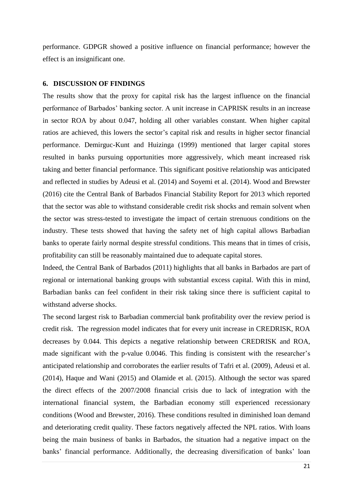performance. GDPGR showed a positive influence on financial performance; however the effect is an insignificant one.

## **6. DISCUSSION OF FINDINGS**

The results show that the proxy for capital risk has the largest influence on the financial performance of Barbados' banking sector. A unit increase in CAPRISK results in an increase in sector ROA by about 0.047, holding all other variables constant. When higher capital ratios are achieved, this lowers the sector's capital risk and results in higher sector financial performance. Demirguc-Kunt and Huizinga (1999) mentioned that larger capital stores resulted in banks pursuing opportunities more aggressively, which meant increased risk taking and better financial performance. This significant positive relationship was anticipated and reflected in studies by Adeusi et al. (2014) and Soyemi et al. (2014). Wood and Brewster (2016) cite the Central Bank of Barbados Financial Stability Report for 2013 which reported that the sector was able to withstand considerable credit risk shocks and remain solvent when the sector was stress-tested to investigate the impact of certain strenuous conditions on the industry. These tests showed that having the safety net of high capital allows Barbadian banks to operate fairly normal despite stressful conditions. This means that in times of crisis, profitability can still be reasonably maintained due to adequate capital stores.

Indeed, the Central Bank of Barbados (2011) highlights that all banks in Barbados are part of regional or international banking groups with substantial excess capital. With this in mind, Barbadian banks can feel confident in their risk taking since there is sufficient capital to withstand adverse shocks.

The second largest risk to Barbadian commercial bank profitability over the review period is credit risk. The regression model indicates that for every unit increase in CREDRISK, ROA decreases by 0.044. This depicts a negative relationship between CREDRISK and ROA, made significant with the p-value 0.0046. This finding is consistent with the researcher's anticipated relationship and corroborates the earlier results of Tafri et al. (2009), Adeusi et al. (2014), Haque and Wani (2015) and Olamide et al. (2015). Although the sector was spared the direct effects of the 2007/2008 financial crisis due to lack of integration with the international financial system, the Barbadian economy still experienced recessionary conditions (Wood and Brewster, 2016). These conditions resulted in diminished loan demand and deteriorating credit quality. These factors negatively affected the NPL ratios. With loans being the main business of banks in Barbados, the situation had a negative impact on the banks' financial performance. Additionally, the decreasing diversification of banks' loan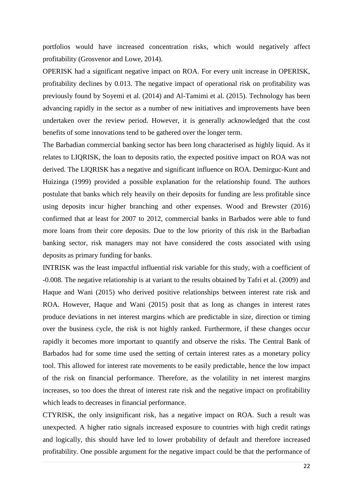portfolios would have increased concentration risks, which would negatively affect profitability (Grosvenor and Lowe, 2014).

OPERISK had a significant negative impact on ROA. For every unit increase in OPERISK, profitability declines by 0.013. The negative impact of operational risk on profitability was previously found by Soyemi et al. (2014) and Al-Tamimi et al. (2015). Technology has been advancing rapidly in the sector as a number of new initiatives and improvements have been undertaken over the review period. However, it is generally acknowledged that the cost benefits of some innovations tend to be gathered over the longer term.

The Barbadian commercial banking sector has been long characterised as highly liquid. As it relates to LIQRISK, the loan to deposits ratio, the expected positive impact on ROA was not derived. The LIQRISK has a negative and significant influence on ROA. Demirguc-Kunt and Huizinga (1999) provided a possible explanation for the relationship found. The authors postulate that banks which rely heavily on their deposits for funding are less profitable since using deposits incur higher branching and other expenses. Wood and Brewster (2016) confirmed that at least for 2007 to 2012, commercial banks in Barbados were able to fund more loans from their core deposits. Due to the low priority of this risk in the Barbadian banking sector, risk managers may not have considered the costs associated with using deposits as primary funding for banks.

INTRISK was the least impactful influential risk variable for this study, with a coefficient of -0.008. The negative relationship is at variant to the results obtained by Tafri et al. (2009) and Haque and Wani (2015) who derived positive relationships between interest rate risk and ROA. However, Haque and Wani (2015) posit that as long as changes in interest rates produce deviations in net interest margins which are predictable in size, direction or timing over the business cycle, the risk is not highly ranked. Furthermore, if these changes occur rapidly it becomes more important to quantify and observe the risks. The Central Bank of Barbados had for some time used the setting of certain interest rates as a monetary policy tool. This allowed for interest rate movements to be easily predictable, hence the low impact of the risk on financial performance. Therefore, as the volatility in net interest margins increases, so too does the threat of interest rate risk and the negative impact on profitability which leads to decreases in financial performance.

CTYRISK, the only insignificant risk, has a negative impact on ROA. Such a result was unexpected. A higher ratio signals increased exposure to countries with high credit ratings and logically, this should have led to lower probability of default and therefore increased profitability. One possible argument for the negative impact could be that the performance of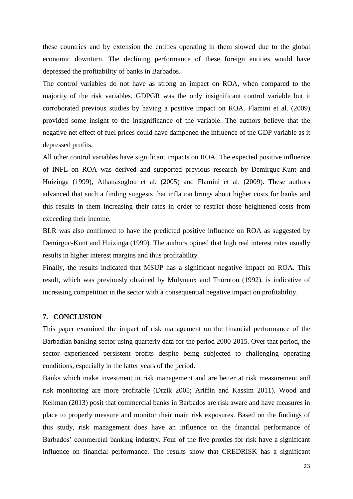these countries and by extension the entities operating in them slowed due to the global economic downturn. The declining performance of these foreign entities would have depressed the profitability of banks in Barbados.

The control variables do not have as strong an impact on ROA, when compared to the majority of the risk variables. GDPGR was the only insignificant control variable but it corroborated previous studies by having a positive impact on ROA. Flamini et al. (2009) provided some insight to the insignificance of the variable. The authors believe that the negative net effect of fuel prices could have dampened the influence of the GDP variable as it depressed profits.

All other control variables have significant impacts on ROA. The expected positive influence of INFL on ROA was derived and supported previous research by Demirguc-Kunt and Huizinga (1999), Athanasoglou et al. (2005) and Flamini et al. (2009). These authors advanced that such a finding suggests that inflation brings about higher costs for banks and this results in them increasing their rates in order to restrict those heightened costs from exceeding their income.

BLR was also confirmed to have the predicted positive influence on ROA as suggested by Demirguc-Kunt and Huizinga (1999). The authors opined that high real interest rates usually results in higher interest margins and thus profitability.

Finally, the results indicated that MSUP has a significant negative impact on ROA. This result, which was previously obtained by Molyneux and Thornton (1992), is indicative of increasing competition in the sector with a consequential negative impact on profitability.

## **7. CONCLUSION**

This paper examined the impact of risk management on the financial performance of the Barbadian banking sector using quarterly data for the period 2000-2015. Over that period, the sector experienced persistent profits despite being subjected to challenging operating conditions, especially in the latter years of the period.

Banks which make investment in risk management and are better at risk measurement and risk monitoring are more profitable (Drzik 2005; Ariffin and Kassim 2011). Wood and Kellman (2013) posit that commercial banks in Barbados are risk aware and have measures in place to properly measure and monitor their main risk exposures. Based on the findings of this study, risk management does have an influence on the financial performance of Barbados' commercial banking industry. Four of the five proxies for risk have a significant influence on financial performance. The results show that CREDRISK has a significant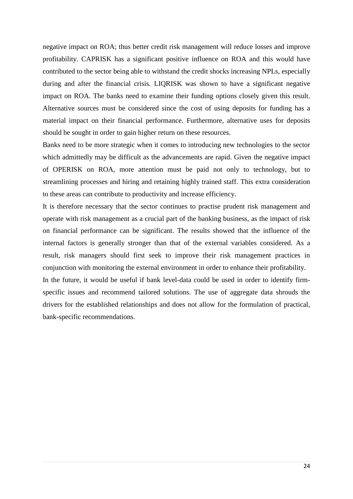negative impact on ROA; thus better credit risk management will reduce losses and improve profitability. CAPRISK has a significant positive influence on ROA and this would have contributed to the sector being able to withstand the credit shocks increasing NPLs, especially during and after the financial crisis. LIQRISK was shown to have a significant negative impact on ROA. The banks need to examine their funding options closely given this result. Alternative sources must be considered since the cost of using deposits for funding has a material impact on their financial performance. Furthermore, alternative uses for deposits should be sought in order to gain higher return on these resources.

Banks need to be more strategic when it comes to introducing new technologies to the sector which admittedly may be difficult as the advancements are rapid. Given the negative impact of OPERISK on ROA, more attention must be paid not only to technology, but to streamlining processes and hiring and retaining highly trained staff. This extra consideration to these areas can contribute to productivity and increase efficiency.

It is therefore necessary that the sector continues to practise prudent risk management and operate with risk management as a crucial part of the banking business, as the impact of risk on financial performance can be significant. The results showed that the influence of the internal factors is generally stronger than that of the external variables considered. As a result, risk managers should first seek to improve their risk management practices in conjunction with monitoring the external environment in order to enhance their profitability.

In the future, it would be useful if bank level-data could be used in order to identify firmspecific issues and recommend tailored solutions. The use of aggregate data shrouds the drivers for the established relationships and does not allow for the formulation of practical, bank-specific recommendations.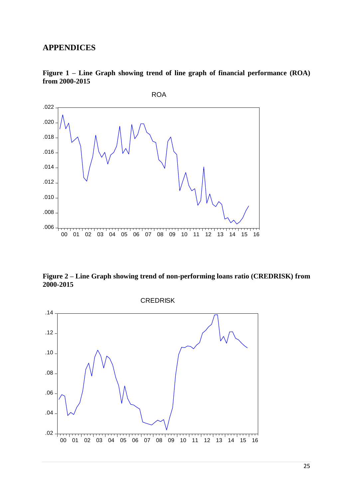# **APPENDICES**



**Figure 1 – Line Graph showing trend of line graph of financial performance (ROA) from 2000-2015**

**Figure 2 – Line Graph showing trend of non-performing loans ratio (CREDRISK) from 2000-2015**

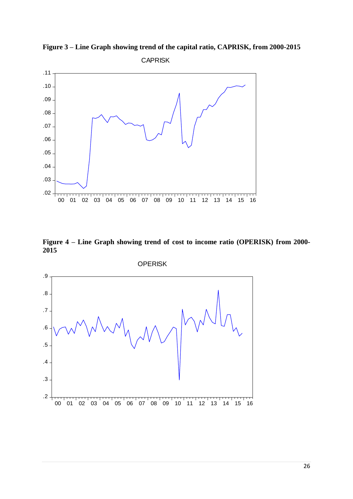

**Figure 3 – Line Graph showing trend of the capital ratio, CAPRISK, from 2000-2015** CAPRISK

**Figure 4 – Line Graph showing trend of cost to income ratio (OPERISK) from 2000- 2015**

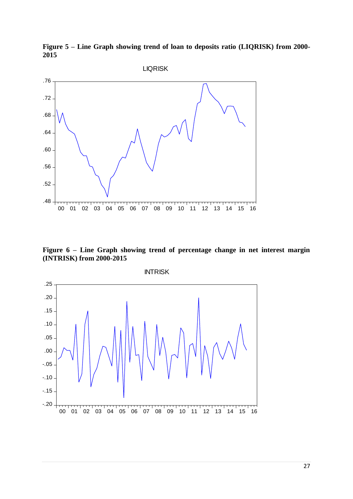**Figure 5 – Line Graph showing trend of loan to deposits ratio (LIQRISK) from 2000- 2015**



**Figure 6 – Line Graph showing trend of percentage change in net interest margin (INTRISK) from 2000-2015**



INTRISK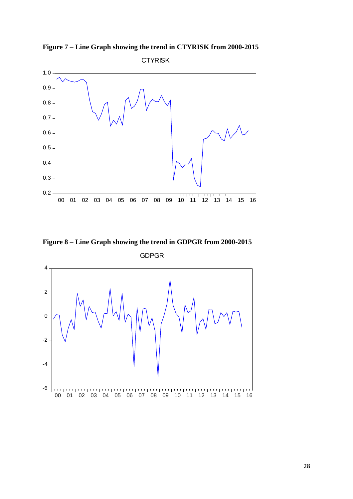**Figure 7 – Line Graph showing the trend in CTYRISK from 2000-2015**





**Figure 8 – Line Graph showing the trend in GDPGR from 2000-2015** GDPGR

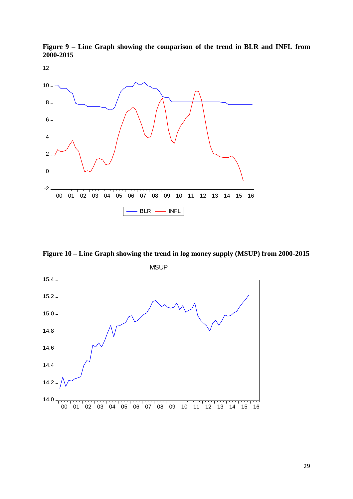



**Figure 10 – Line Graph showing the trend in log money supply (MSUP) from 2000-2015**

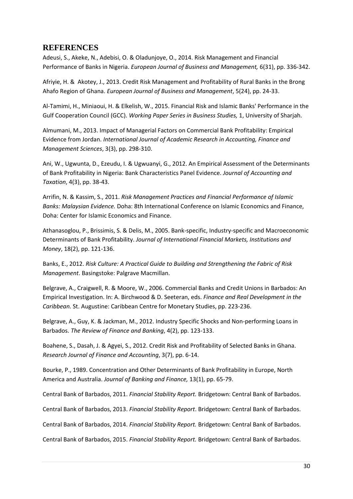# **REFERENCES**

Adeusi, S., Akeke, N., Adebisi, O. & Oladunjoye, O., 2014. Risk Management and Financial Performance of Banks in Nigeria. *European Journal of Business and Management,* 6(31), pp. 336-342.

Afriyie, H. & Akotey, J., 2013. Credit Risk Management and Profitability of Rural Banks in the Brong Ahafo Region of Ghana. *European Journal of Business and Management*, 5(24), pp. 24-33.

Al-Tamimi, H., Miniaoui, H. & Elkelish, W., 2015. Financial Risk and Islamic Banks' Performance in the Gulf Cooperation Council (GCC). *Working Paper Series in Business Studies,* 1, University of Sharjah.

Almumani, M., 2013. Impact of Managerial Factors on Commercial Bank Profitability: Empirical Evidence from Jordan. *International Journal of Academic Research in Accounting, Finance and Management Sciences*, 3(3), pp. 298-310.

Ani, W., Ugwunta, D., Ezeudu, I. & Ugwuanyi, G., 2012. An Empirical Assessment of the Determinants of Bank Profitability in Nigeria: Bank Characteristics Panel Evidence. *Journal of Accounting and Taxation*, 4(3), pp. 38-43.

Arrifin, N. & Kassim, S., 2011. *Risk Management Practices and Financial Performance of Islamic Banks: Malaysian Evidence.* Doha: 8th International Conference on Islamic Economics and Finance, Doha: Center for Islamic Economics and Finance.

Athanasoglou, P., Brissimis, S. & Delis, M., 2005. Bank-specific, Industry-specific and Macroeconomic Determinants of Bank Profitability. *Journal of International Financial Markets, Institutions and Money*, 18(2), pp. 121-136.

Banks, E., 2012. *Risk Culture: A Practical Guide to Building and Strengthening the Fabric of Risk Management*. Basingstoke: Palgrave Macmillan.

Belgrave, A., Craigwell, R. & Moore, W., 2006. Commercial Banks and Credit Unions in Barbados: An Empirical Investigation. In: A. Birchwood & D. Seeteran, eds. *Finance and Real Development in the Caribbean.* St. Augustine: Caribbean Centre for Monetary Studies, pp. 223-236.

Belgrave, A., Guy, K. & Jackman, M., 2012. Industry Specific Shocks and Non-performing Loans in Barbados. *The Review of Finance and Banking*, 4(2), pp. 123-133.

Boahene, S., Dasah, J. & Agyei, S., 2012. Credit Risk and Profitability of Selected Banks in Ghana. *Research Journal of Finance and Accounting*, 3(7), pp. 6-14.

Bourke, P., 1989. Concentration and Other Determinants of Bank Profitability in Europe, North America and Australia. *Journal of Banking and Finance,* 13(1), pp. 65-79.

Central Bank of Barbados, 2011. *Financial Stability Report.* Bridgetown: Central Bank of Barbados.

Central Bank of Barbados, 2013. *Financial Stability Report*. Bridgetown: Central Bank of Barbados.

Central Bank of Barbados, 2014. *Financial Stability Report.* Bridgetown: Central Bank of Barbados.

Central Bank of Barbados, 2015. *Financial Stability Report.* Bridgetown: Central Bank of Barbados.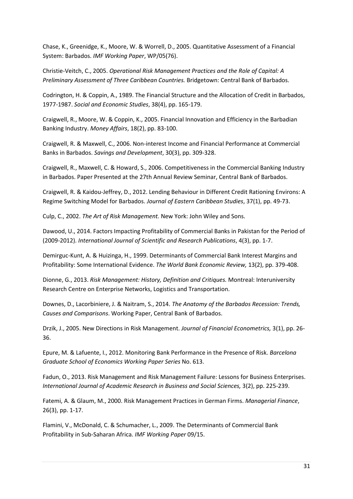Chase, K., Greenidge, K., Moore, W. & Worrell, D., 2005. Quantitative Assessment of a Financial System: Barbados. *IMF Working Paper*, WP/05(76).

Christie-Veitch, C., 2005. *Operational Risk Management Practices and the Role of Capital: A Preliminary Assessment of Three Caribbean Countries.* Bridgetown: Central Bank of Barbados.

Codrington, H. & Coppin, A., 1989. The Financial Structure and the Allocation of Credit in Barbados, 1977-1987. *Social and Economic Studies*, 38(4), pp. 165-179.

Craigwell, R., Moore, W. & Coppin, K., 2005. Financial Innovation and Efficiency in the Barbadian Banking Industry. *Money Affairs*, 18(2), pp. 83-100.

Craigwell, R. & Maxwell, C., 2006. Non-interest Income and Financial Performance at Commercial Banks in Barbados. *Savings and Development*, 30(3), pp. 309-328.

Craigwell, R., Maxwell, C. & Howard, S., 2006. Competitiveness in the Commercial Banking Industry in Barbados. Paper Presented at the 27th Annual Review Seminar, Central Bank of Barbados.

Craigwell, R. & Kaidou-Jeffrey, D., 2012. Lending Behaviour in Different Credit Rationing Environs: A Regime Switching Model for Barbados. *Journal of Eastern Caribbean Studies*, 37(1), pp. 49-73.

Culp, C., 2002. *The Art of Risk Management.* New York: John Wiley and Sons.

Dawood, U., 2014. Factors Impacting Profitability of Commercial Banks in Pakistan for the Period of (2009-2012). *International Journal of Scientific and Research Publications*, 4(3), pp. 1-7.

Demirguc-Kunt, A. & Huizinga, H., 1999. Determinants of Commercial Bank Interest Margins and Profitability: Some International Evidence. *The World Bank Economic Review,* 13(2), pp. 379-408.

Dionne, G., 2013. *Risk Management: History, Definition and Critiques.* Montreal: Interuniversity Research Centre on Enterprise Networks, Logistics and Transportation.

Downes, D., Lacorbiniere, J. & Naitram, S., 2014. *The Anatomy of the Barbados Recession: Trends, Causes and Comparisons*. Working Paper, Central Bank of Barbados.

Drzik, J., 2005. New Directions in Risk Management. *Journal of Financial Econometrics,* 3(1), pp. 26- 36.

Epure, M. & Lafuente, I., 2012. Monitoring Bank Performance in the Presence of Risk. *Barcelona Graduate School of Economics Working Paper Series* No. 613.

Fadun, O., 2013. Risk Management and Risk Management Failure: Lessons for Business Enterprises. *International Journal of Academic Research in Business and Social Sciences,* 3(2), pp. 225-239.

Fatemi, A. & Glaum, M., 2000. Risk Management Practices in German Firms. *Managerial Finance*, 26(3), pp. 1-17.

Flamini, V., McDonald, C. & Schumacher, L., 2009. The Determinants of Commercial Bank Profitability in Sub-Saharan Africa. *IMF Working Paper* 09/15.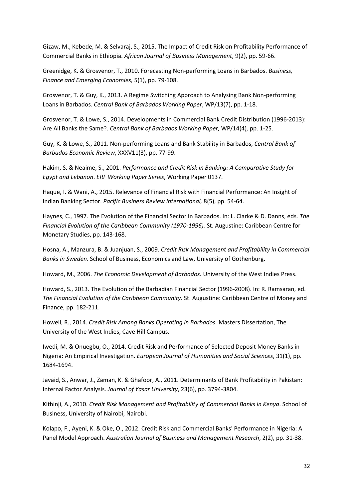Gizaw, M., Kebede, M. & Selvaraj, S., 2015. The Impact of Credit Risk on Profitability Performance of Commercial Banks in Ethiopia. *African Journal of Business Management*, 9(2), pp. 59-66.

Greenidge, K. & Grosvenor, T., 2010. Forecasting Non-performing Loans in Barbados. *Business, Finance and Emerging Economies,* 5(1), pp. 79-108.

Grosvenor, T. & Guy, K., 2013. A Regime Switching Approach to Analysing Bank Non-performing Loans in Barbados. *Central Bank of Barbados Working Paper*, WP/13(7), pp. 1-18.

Grosvenor, T. & Lowe, S., 2014. Developments in Commercial Bank Credit Distribution (1996-2013): Are All Banks the Same?. *Central Bank of Barbados Working Paper,* WP/14(4)*,* pp. 1-25.

Guy, K. & Lowe, S., 2011. Non-performing Loans and Bank Stability in Barbados, *Central Bank of Barbados Economic Review*, XXXV11(3), pp. 77-99.

Hakim, S. & Neaime, S., 2001. *Performance and Credit Risk in Banking: A Comparative Study for Egypt and Lebanon*. *ERF Working Paper Series*, Working Paper 0137.

Haque, I. & Wani, A., 2015. Relevance of Financial Risk with Financial Performance: An Insight of Indian Banking Sector. *Pacific Business Review International,* 8(5), pp. 54-64.

Haynes, C., 1997. The Evolution of the Financial Sector in Barbados. In: L. Clarke & D. Danns, eds. *The Financial Evolution of the Caribbean Community (1970-1996).* St. Augustine: Caribbean Centre for Monetary Studies, pp. 143-168.

Hosna, A., Manzura, B. & Juanjuan, S., 2009. *Credit Risk Management and Profitability in Commercial Banks in Sweden*. School of Business, Economics and Law, University of Gothenburg.

Howard, M., 2006. *The Economic Development of Barbados.* University of the West Indies Press.

Howard, S., 2013. The Evolution of the Barbadian Financial Sector (1996-2008). In: R. Ramsaran, ed. *The Financial Evolution of the Caribbean Community.* St. Augustine: Caribbean Centre of Money and Finance, pp. 182-211.

Howell, R., 2014. *Credit Risk Among Banks Operating in Barbados.* Masters Dissertation, The University of the West Indies, Cave Hill Campus.

Iwedi, M. & Onuegbu, O., 2014. Credit Risk and Performance of Selected Deposit Money Banks in Nigeria: An Empirical Investigation. *European Journal of Humanities and Social Sciences*, 31(1), pp. 1684-1694.

Javaid, S., Anwar, J., Zaman, K. & Ghafoor, A., 2011. Determinants of Bank Profitability in Pakistan: Internal Factor Analysis. *Journal of Yasar University*, 23(6), pp. 3794-3804.

Kithinji, A., 2010. *Credit Risk Management and Profitability of Commercial Banks in Kenya*. School of Business, University of Nairobi, Nairobi.

Kolapo, F., Ayeni, K. & Oke, O., 2012. Credit Risk and Commercial Banks' Performance in Nigeria: A Panel Model Approach. *Australian Journal of Business and Management Research*, 2(2), pp. 31-38.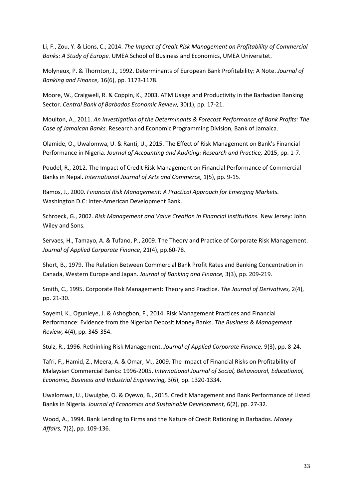Li, F., Zou, Y. & Lions, C., 2014. *The Impact of Credit Risk Management on Profitability of Commercial Banks: A Study of Europe.* UMEA School of Business and Economics, UMEA Universitet.

Molyneux, P. & Thornton, J., 1992. Determinants of European Bank Profitability: A Note. *Journal of Banking and Finance,* 16(6), pp. 1173-1178.

Moore, W., Craigwell, R. & Coppin, K., 2003. ATM Usage and Productivity in the Barbadian Banking Sector. *Central Bank of Barbados Economic Review,* 30(1), pp. 17-21.

Moulton, A., 2011. *An Investigation of the Determinants & Forecast Performance of Bank Profits: The Case of Jamaican Banks*. Research and Economic Programming Division, Bank of Jamaica.

Olamide, O., Uwalomwa, U. & Ranti, U., 2015. The Effect of Risk Management on Bank's Financial Performance in Nigeria. *Journal of Accounting and Auditing: Research and Practice,* 2015, pp. 1-7.

Poudel, R., 2012. The Impact of Credit Risk Management on Financial Performance of Commercial Banks in Nepal. *International Journal of Arts and Commerce,* 1(5), pp. 9-15.

Ramos, J., 2000. *Financial Risk Management: A Practical Approach for Emerging Markets.*  Washington D.C: Inter-American Development Bank.

Schroeck, G., 2002. *Risk Management and Value Creation in Financial Institutions.* New Jersey: John Wiley and Sons.

Servaes, H., Tamayo, A. & Tufano, P., 2009. The Theory and Practice of Corporate Risk Management. *Journal of Applied Corporate Finance*, 21(4), pp.60-78.

Short, B., 1979. The Relation Between Commercial Bank Profit Rates and Banking Concentration in Canada, Western Europe and Japan. *Journal of Banking and Finance,* 3(3), pp. 209-219.

Smith, C., 1995. Corporate Risk Management: Theory and Practice. *The Journal of Derivatives,* 2(4), pp. 21-30.

Soyemi, K., Ogunleye, J. & Ashogbon, F., 2014. Risk Management Practices and Financial Performance: Evidence from the Nigerian Deposit Money Banks. *The Business & Management Review,* 4(4), pp. 345-354.

Stulz, R., 1996. Rethinking Risk Management. *Journal of Applied Corporate Finance,* 9(3), pp. 8-24.

Tafri, F., Hamid, Z., Meera, A. & Omar, M., 2009. The Impact of Financial Risks on Profitability of Malaysian Commercial Banks: 1996-2005. *International Journal of Social, Behavioural, Educational, Economic, Business and Industrial Engineering,* 3(6), pp. 1320-1334.

Uwalomwa, U., Uwuigbe, O. & Oyewo, B., 2015. Credit Management and Bank Performance of Listed Banks in Nigeria. *Journal of Economics and Sustainable Development,* 6(2), pp. 27-32.

Wood, A., 1994. Bank Lending to Firms and the Nature of Credit Rationing in Barbados. *Money Affairs,* 7(2), pp. 109-136.